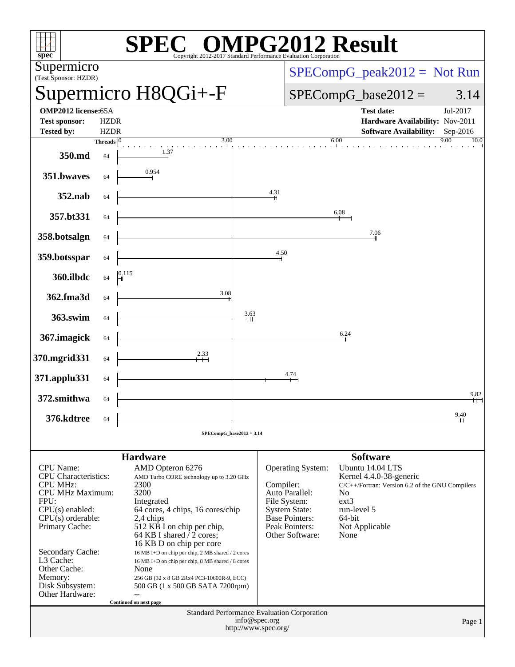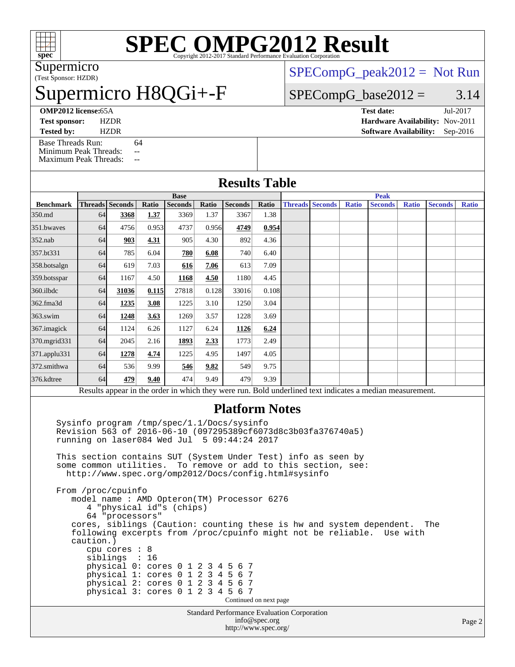

# **[SPEC OMPG2012 Result](http://www.spec.org/auto/omp2012/Docs/result-fields.html#SPECOMPG2012Result)**

(Test Sponsor: HZDR) Supermicro

# permicro H8QGi+-F

**Base**

 $SPECompG_peak2012 = Not Run$  $SPECompG_peak2012 = Not Run$ 

**Peak**

### $SPECompG_base2012 = 3.14$  $SPECompG_base2012 = 3.14$

**[Tested by:](http://www.spec.org/auto/omp2012/Docs/result-fields.html#Testedby)** HZDR **[Software Availability:](http://www.spec.org/auto/omp2012/Docs/result-fields.html#SoftwareAvailability)** Sep-2016 [Base Threads Run:](http://www.spec.org/auto/omp2012/Docs/result-fields.html#BaseThreadsRun) 64

[Minimum Peak Threads:](http://www.spec.org/auto/omp2012/Docs/result-fields.html#MinimumPeakThreads) --[Maximum Peak Threads:](http://www.spec.org/auto/omp2012/Docs/result-fields.html#MaximumPeakThreads) --

**[OMP2012 license:](http://www.spec.org/auto/omp2012/Docs/result-fields.html#OMP2012license)**65A **[Test date:](http://www.spec.org/auto/omp2012/Docs/result-fields.html#Testdate)** Jul-2017 **[Test sponsor:](http://www.spec.org/auto/omp2012/Docs/result-fields.html#Testsponsor)** HZDR **[Hardware Availability:](http://www.spec.org/auto/omp2012/Docs/result-fields.html#HardwareAvailability)** Nov-2011

### **[Results Table](http://www.spec.org/auto/omp2012/Docs/result-fields.html#ResultsTable) [Benchmark](http://www.spec.org/auto/omp2012/Docs/result-fields.html#Benchmark) [Threads](http://www.spec.org/auto/omp2012/Docs/result-fields.html#Threads) [Seconds](http://www.spec.org/auto/omp2012/Docs/result-fields.html#Seconds) [Ratio](http://www.spec.org/auto/omp2012/Docs/result-fields.html#Ratio) [Seconds](http://www.spec.org/auto/omp2012/Docs/result-fields.html#Seconds) [Ratio](http://www.spec.org/auto/omp2012/Docs/result-fields.html#Ratio) [Seconds](http://www.spec.org/auto/omp2012/Docs/result-fields.html#Seconds) [Ratio](http://www.spec.org/auto/omp2012/Docs/result-fields.html#Ratio) [Threads](http://www.spec.org/auto/omp2012/Docs/result-fields.html#Threads) [Seconds](http://www.spec.org/auto/omp2012/Docs/result-fields.html#Seconds) [Ratio](http://www.spec.org/auto/omp2012/Docs/result-fields.html#Ratio) [Seconds](http://www.spec.org/auto/omp2012/Docs/result-fields.html#Seconds) [Ratio](http://www.spec.org/auto/omp2012/Docs/result-fields.html#Ratio) [Seconds](http://www.spec.org/auto/omp2012/Docs/result-fields.html#Seconds) [Ratio](http://www.spec.org/auto/omp2012/Docs/result-fields.html#Ratio)** [350.md](http://www.spec.org/auto/omp2012/Docs/350.md.html) 64 **[3368](http://www.spec.org/auto/omp2012/Docs/result-fields.html#Median) [1.37](http://www.spec.org/auto/omp2012/Docs/result-fields.html#Median)** 3369 1.37 3367 1.38

| ,,,,,,,,,,   | $\checkmark$             | $\frac{1}{2}$ | <u> .</u> | ---   | . . <i>. .</i> | ---   |               |                         |          |           |  |  |
|--------------|--------------------------|---------------|-----------|-------|----------------|-------|---------------|-------------------------|----------|-----------|--|--|
| 351.bwaves   | 64                       | 4756          | 0.953     | 4737  | 0.956          | 4749  | 0.954         |                         |          |           |  |  |
| 352.nab      | 64                       | 903           | 4.31      | 905   | 4.30           | 892   | 4.36          |                         |          |           |  |  |
| 357.bt331    | 64                       | 785           | 6.04      | 780   | 6.08           | 740   | 6.40          |                         |          |           |  |  |
| 358.botsalgn | 64                       | 619           | 7.03      | 616   | 7.06           | 613   | 7.09          |                         |          |           |  |  |
| 359.botsspar | 64                       | 1167          | 4.50      | 1168  | 4.50           | 1180  | 4.45          |                         |          |           |  |  |
| 360.ilbdc    | 64                       | 31036         | 0.115     | 27818 | 0.128          | 33016 | 0.108         |                         |          |           |  |  |
| 362.fma3d    | 64                       | 1235          | 3.08      | 1225  | 3.10           | 1250  | 3.04          |                         |          |           |  |  |
| $363$ .swim  | 64                       | 1248          | 3.63      | 1269  | 3.57           | 1228  | 3.69          |                         |          |           |  |  |
| 367. imagick | 64                       | 1124          | 6.26      | 1127  | 6.24           | 1126  | 6.24          |                         |          |           |  |  |
| 370.mgrid331 | 64                       | 2045          | 2.16      | 1893  | 2.33           | 1773  | 2.49          |                         |          |           |  |  |
| 371.applu331 | 64                       | 1278          | 4.74      | 1225  | 4.95           | 1497  | 4.05          |                         |          |           |  |  |
| 372.smithwa  | 64                       | 536           | 9.99      | 546   | 9.82           | 549   | 9.75          |                         |          |           |  |  |
| 376.kdtree   | 64                       | 479           | 9.40      | 474   | 9.49           | 479   | 9.39          |                         |          |           |  |  |
|              | $\overline{\phantom{a}}$ |               |           |       | .              |       | $\sim$ $\sim$ | $\sim$<br>$\sim$ $\sim$ | $\cdots$ | $\bullet$ |  |  |

Results appear in the [order in which they were run.](http://www.spec.org/auto/omp2012/Docs/result-fields.html#RunOrder) Bold underlined text [indicates a median measurement.](http://www.spec.org/auto/omp2012/Docs/result-fields.html#Median)

#### **[Platform Notes](http://www.spec.org/auto/omp2012/Docs/result-fields.html#PlatformNotes)**

 Sysinfo program /tmp/spec/1.1/Docs/sysinfo Revision 563 of 2016-06-10 (097295389cf6073d8c3b03fa376740a5) running on laser084 Wed Jul 5 09:44:24 2017

 This section contains SUT (System Under Test) info as seen by some common utilities. To remove or add to this section, see: <http://www.spec.org/omp2012/Docs/config.html#sysinfo>

 From /proc/cpuinfo model name : AMD Opteron(TM) Processor 6276 4 "physical id"s (chips) 64 "processors" cores, siblings (Caution: counting these is hw and system dependent. The following excerpts from /proc/cpuinfo might not be reliable. Use with caution.) cpu cores : 8 siblings : 16 physical 0: cores 0 1 2 3 4 5 6 7 physical 1: cores 0 1 2 3 4 5 6 7 physical 2: cores 0 1 2 3 4 5 6 7 physical 3: cores 0 1 2 3 4 5 6 7 Continued on next page

Standard Performance Evaluation Corporation [info@spec.org](mailto:info@spec.org) <http://www.spec.org/>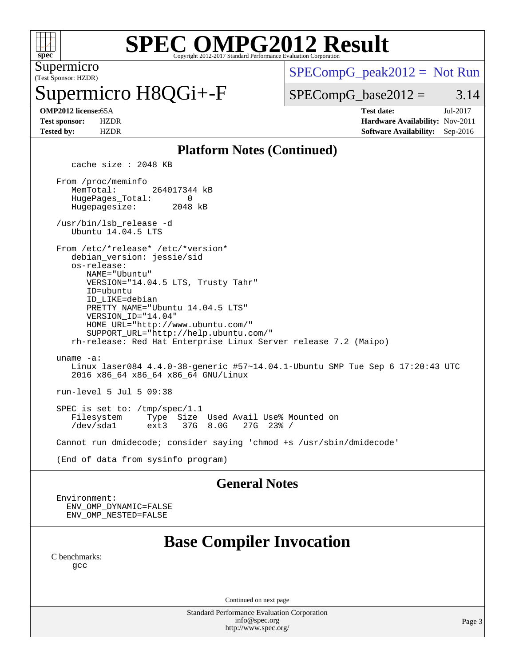

# **[SPEC OMPG2012 Result](http://www.spec.org/auto/omp2012/Docs/result-fields.html#SPECOMPG2012Result)**

(Test Sponsor: HZDR) Supermicro

permicro H8QGi+-F

 $SPECompG_peak2012 = Not Run$  $SPECompG_peak2012 = Not Run$ 

 $SPECompG_base2012 = 3.14$  $SPECompG_base2012 = 3.14$ 

**[OMP2012 license:](http://www.spec.org/auto/omp2012/Docs/result-fields.html#OMP2012license)**65A **[Test date:](http://www.spec.org/auto/omp2012/Docs/result-fields.html#Testdate)** Jul-2017 **[Test sponsor:](http://www.spec.org/auto/omp2012/Docs/result-fields.html#Testsponsor)** HZDR **[Hardware Availability:](http://www.spec.org/auto/omp2012/Docs/result-fields.html#HardwareAvailability)** Nov-2011 **[Tested by:](http://www.spec.org/auto/omp2012/Docs/result-fields.html#Testedby)** HZDR **[Software Availability:](http://www.spec.org/auto/omp2012/Docs/result-fields.html#SoftwareAvailability)** Sep-2016

#### **[Platform Notes \(Continued\)](http://www.spec.org/auto/omp2012/Docs/result-fields.html#PlatformNotes)**

cache size : 2048 KB

 From /proc/meminfo MemTotal: 264017344 kB HugePages\_Total: 0<br>Hugepagesize: 2048 kB Hugepagesize:

 /usr/bin/lsb\_release -d Ubuntu 14.04.5 LTS

From /etc/\*release\* /etc/\*version\*

 debian\_version: jessie/sid os-release:

 NAME="Ubuntu" VERSION="14.04.5 LTS, Trusty Tahr" ID=ubuntu ID\_LIKE=debian PRETTY\_NAME="Ubuntu 14.04.5 LTS" VERSION\_ID="14.04" HOME\_URL="<http://www.ubuntu.com/"> SUPPORT\_URL="<http://help.ubuntu.com/">

 rh-release: Red Hat Enterprise Linux Server release 7.2 (Maipo) uname -a:

 Linux laser084 4.4.0-38-generic #57~14.04.1-Ubuntu SMP Tue Sep 6 17:20:43 UTC 2016 x86\_64 x86\_64 x86\_64 GNU/Linux

run-level 5 Jul 5 09:38

SPEC is set to: /tmp/spec/1.1<br>Filesystem Type Size Filesystem Type Size Used Avail Use% Mounted on 37G 8.0G

Cannot run dmidecode; consider saying 'chmod +s /usr/sbin/dmidecode'

(End of data from sysinfo program)

#### **[General Notes](http://www.spec.org/auto/omp2012/Docs/result-fields.html#GeneralNotes)**

 Environment: ENV\_OMP\_DYNAMIC=FALSE ENV\_OMP\_NESTED=FALSE

## **[Base Compiler Invocation](http://www.spec.org/auto/omp2012/Docs/result-fields.html#BaseCompilerInvocation)**

[C benchmarks](http://www.spec.org/auto/omp2012/Docs/result-fields.html#Cbenchmarks): [gcc](http://www.spec.org/omp2012/results/res2017q3/omp2012-20170809-00117.flags.html#user_CCbase_gcc_l)

Continued on next page

Standard Performance Evaluation Corporation [info@spec.org](mailto:info@spec.org) <http://www.spec.org/>